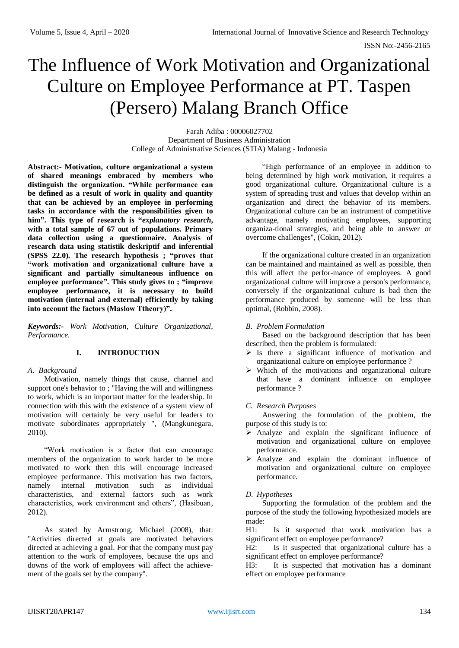# The Influence of Work Motivation and Organizational Culture on Employee Performance at PT. Taspen (Persero) Malang Branch Office

Farah Adiba : 00006027702 Department of Business Administration College of Administrative Sciences (STIA) Malang - Indonesia

**Abstract:- Motivation, culture organizational a system of shared meanings embraced by members who distinguish the organization. "While performance can be defined as a result of work in quality and quantity that can be achieved by an employee in performing tasks in accordance with the responsibilities given to him". This type of research is "***explanatory research***, with a total sample of 67 out of populations. Primary data collection using a questionnaire. Analysis of research data using statistik deskriptif and inferential (SPSS 22.0). The research hypothesis ; "proves that "work motivation and organizational culture have a significant and partially simultaneous influence on employee performance". This study gives to ; "improve employee performance, it is necessary to build motivation (internal and external) efficiently by taking into account the factors (Maslow Ttheory)".** 

*Keywords:- Work Motivation, Culture Organizational, Performance.*

## **I. INTRODUCTION**

#### *A. Background*

Motivation, namely things that cause, channel and support one's behavior to; "Having the will and willingness to work, which is an important matter for the leadership. In connection with this with the existence of a system view of motivation will certainly be very useful for leaders to motivate subordinates appropriately ", (Mangkunegara, 2010).

"Work motivation is a factor that can encourage members of the organization to work harder to be more motivated to work then this will encourage increased employee performance. This motivation has two factors, namely internal motivation such as individual characteristics, and external factors such as work characteristics, work environment and others", (Hasibuan, 2012).

As stated by Armstrong, Michael (2008), that: "Activities directed at goals are motivated behaviors directed at achieving a goal. For that the company must pay attention to the work of employees, because the ups and downs of the work of employees will affect the achievement of the goals set by the company".

"High performance of an employee in addition to being determined by high work motivation, it requires a good organizational culture. Organizational culture is a system of spreading trust and values that develop within an organization and direct the behavior of its members. Organizational culture can be an instrument of competitive advantage, namely motivating employees, supporting organiza-tional strategies, and being able to answer or overcome challenges", (Cokin, 2012).

If the organizational culture created in an organization can be maintained and maintained as well as possible, then this will affect the perfor-mance of employees. A good organizational culture will improve a person's performance, conversely if the organizational culture is bad then the performance produced by someone will be less than optimal, (Robbin, 2008).

## *B. Problem Formulation*

Based on the background description that has been described, then the problem is formulated:

- $\triangleright$  Is there a significant influence of motivation and organizational culture on employee performance ?
- $\triangleright$  Which of the motivations and organizational culture that have a dominant influence on employee performance ?

## *C. Research Purposes*

Answering the formulation of the problem, the purpose of this study is to:

- $\triangleright$  Analyze and explain the significant influence of motivation and organizational culture on employee performance.
- Analyze and explain the dominant influence of motivation and organizational culture on employee performance.

## *D. Hypotheses*

Supporting the formulation of the problem and the purpose of the study the following hypothesized models are made:

H1: Is it suspected that work motivation has a significant effect on employee performance?

H2: Is it suspected that organizational culture has a significant effect on employee performance?

H3: It is suspected that motivation has a dominant effect on employee performance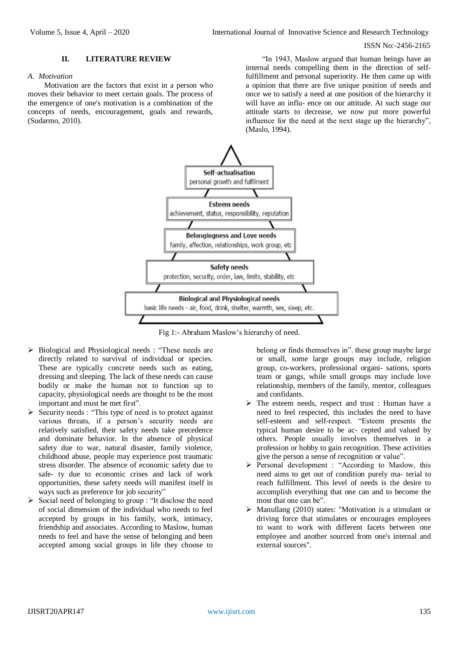#### ISSN No:-2456-2165

#### **II. LITERATURE REVIEW**

#### *A. Motivation*

Motivation are the factors that exist in a person who moves their behavior to meet certain goals. The process of the emergence of one's motivation is a combination of the concepts of needs, encouragement, goals and rewards, (Sudarmo, 2010).

"In 1943, Maslow argued that human beings have an internal needs compelling them in the direction of selffulfillment and personal superiority. He then came up with a opinion that there are five unique position of needs and once we to satisfy a need at one position of the hierarchy it will have an influ- ence on our attitude. At such stage our attitude starts to decrease, we now put more powerful influence for the need at the next stage up the hierarchy", (Maslo, 1994).



Fig 1:- Abraham Maslow's hierarchy of need.

- $\triangleright$  Biological and Physiological needs : "These needs are directly related to survival of individual or species. These are typically concrete needs such as eating, dressing and sleeping. The lack of these needs can cause bodily or make the human not to function up to capacity, physiological needs are thought to be the most important and must be met first".
- $\triangleright$  Security needs : "This type of need is to protect against various threats, if a person's security needs are relatively satisfied, their safety needs take precedence and dominate behavior. In the absence of physical safety due to war, natural disaster, family violence, childhood abuse, people may experience post traumatic stress disorder. The absence of economic safety due to safe- ty due to economic crises and lack of work opportunities, these safety needs will manifest itself in ways such as preference for job security"
- $\triangleright$  Social need of belonging to group : "It disclose the need of social dimension of the individual who needs to feel accepted by groups in his family, work, intimacy, friendship and associates. According to Maslow, human needs to feel and have the sense of belonging and been accepted among social groups in life they choose to

belong or finds themselves in". these group maybe large or small, some large groups may include, religion group, co-workers, professional organi- sations, sports team or gangs, while small groups may include love relationship, members of the family, mentor, colleagues and confidants.

- $\triangleright$  The esteem needs, respect and trust : Human have a need to feel respected, this includes the need to have self-esteem and self-respect. "Esteem presents the typical human desire to be ac- cepted and valued by others. People usually involves themselves in a profession or hobby to gain recognition. These activities give the person a sense of recognition or value".
- Personal development : "According to Maslow, this need aims to get out of condition purely ma- terial to reach fulfillment. This level of needs is the desire to accomplish everything that one can and to become the most that one can be".
- $\triangleright$  Manullang (2010) states: "Motivation is a stimulant or driving force that stimulates or encourages employees to want to work with different facets between one employee and another sourced from one's internal and external sources".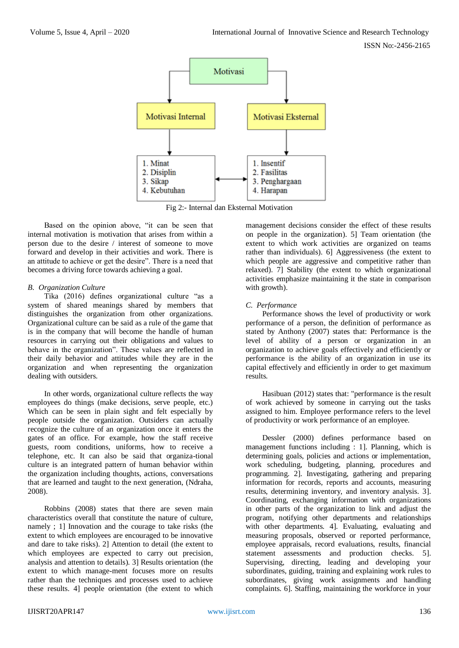

Fig 2:- Internal dan Eksternal Motivation

Based on the opinion above, "it can be seen that internal motivation is motivation that arises from within a person due to the desire / interest of someone to move forward and develop in their activities and work. There is an attitude to achieve or get the desire". There is a need that becomes a driving force towards achieving a goal.

## *B. Organization Culture*

Tika (2016) defines organizational culture "as a system of shared meanings shared by members that distinguishes the organization from other organizations. Organizational culture can be said as a rule of the game that is in the company that will become the handle of human resources in carrying out their obligations and values to behave in the organization". These values are reflected in their daily behavior and attitudes while they are in the organization and when representing the organization dealing with outsiders.

In other words, organizational culture reflects the way employees do things (make decisions, serve people, etc.) Which can be seen in plain sight and felt especially by people outside the organization. Outsiders can actually recognize the culture of an organization once it enters the gates of an office. For example, how the staff receive guests, room conditions, uniforms, how to receive a telephone, etc. It can also be said that organiza-tional culture is an integrated pattern of human behavior within the organization including thoughts, actions, conversations that are learned and taught to the next generation, (Ndraha, 2008).

Robbins (2008) states that there are seven main characteristics overall that constitute the nature of culture, namely ; 1] Innovation and the courage to take risks (the extent to which employees are encouraged to be innovative and dare to take risks). 2] Attention to detail (the extent to which employees are expected to carry out precision, analysis and attention to details). 3] Results orientation (the extent to which manage-ment focuses more on results rather than the techniques and processes used to achieve these results. 4] people orientation (the extent to which management decisions consider the effect of these results on people in the organization). 5] Team orientation (the extent to which work activities are organized on teams rather than individuals). 6] Aggressiveness (the extent to which people are aggressive and competitive rather than relaxed). 7] Stability (the extent to which organizational activities emphasize maintaining it the state in comparison with growth).

## *C. Performance*

Performance shows the level of productivity or work performance of a person, the definition of performance as stated by Anthony (2007) states that: Performance is the level of ability of a person or organization in an organization to achieve goals effectively and efficiently or performance is the ability of an organization in use its capital effectively and efficiently in order to get maximum results.

Hasibuan (2012) states that: "performance is the result of work achieved by someone in carrying out the tasks assigned to him. Employee performance refers to the level of productivity or work performance of an employee.

Dessler (2000) defines performance based on management functions including : 1]. Planning, which is determining goals, policies and actions or implementation, work scheduling, budgeting, planning, procedures and programming. 2]. Investigating, gathering and preparing information for records, reports and accounts, measuring results, determining inventory, and inventory analysis. 3]. Coordinating, exchanging information with organizations in other parts of the organization to link and adjust the program, notifying other departments and relationships with other departments. 4]. Evaluating, evaluating and measuring proposals, observed or reported performance, employee appraisals, record evaluations, results, financial statement assessments and production checks. 5]. Supervising, directing, leading and developing your subordinates, guiding, training and explaining work rules to subordinates, giving work assignments and handling complaints. 6]. Staffing, maintaining the workforce in your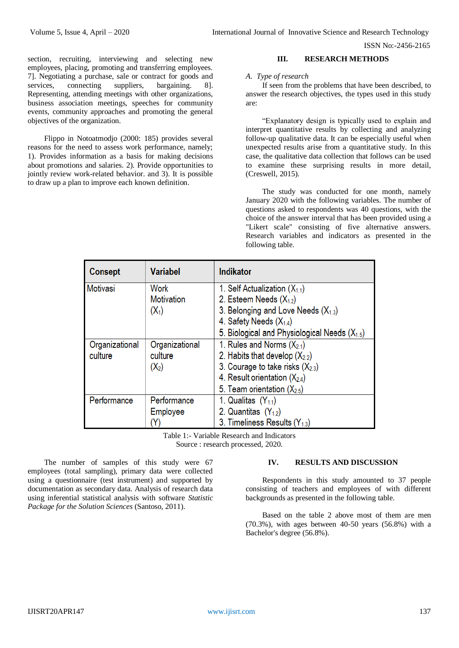ISSN No:-2456-2165

section, recruiting, interviewing and selecting new employees, placing, promoting and transferring employees. 7]. Negotiating a purchase, sale or contract for goods and services, connecting suppliers, bargaining. 8]. Representing, attending meetings with other organizations, business association meetings, speeches for community events, community approaches and promoting the general objectives of the organization.

Flippo in Notoatmodjo (2000: 185) provides several reasons for the need to assess work performance, namely; 1). Provides information as a basis for making decisions about promotions and salaries. 2). Provide opportunities to jointly review work-related behavior. and 3). It is possible to draw up a plan to improve each known definition.

#### **III. RESEARCH METHODS**

#### *A. Type of research*

If seen from the problems that have been described, to answer the research objectives, the types used in this study are:

"Explanatory design is typically used to explain and interpret quantitative results by collecting and analyzing follow-up qualitative data. It can be especially useful when unexpected results arise from a quantitative study. In this case, the qualitative data collection that follows can be used to examine these surprising results in more detail, (Creswell, 2015).

The study was conducted for one month, namely January 2020 with the following variables. The number of questions asked to respondents was 40 questions, with the choice of the answer interval that has been provided using a "Likert scale" consisting of five alternative answers. Research variables and indicators as presented in the following table.

| <b>Consept</b>  | <b>Variabel</b>   | <b>Indikator</b>                                  |
|-----------------|-------------------|---------------------------------------------------|
| <b>Motivasi</b> | Work              | 1. Self Actualization $(X_{1,1})$                 |
|                 | <b>Motivation</b> | 2. Esteem Needs $(X_{1,2})$                       |
|                 | $(X_1)$           | 3. Belonging and Love Needs $(X_{1,3})$           |
|                 |                   | 4. Safety Needs $(X_{1,4})$                       |
|                 |                   | 5. Biological and Physiological Needs $(X_{1.5})$ |
| Organizational  | Organizational    | 1. Rules and Norms $(X_{2,1})$                    |
| culture         | culture           | 2. Habits that develop $(X_{2,2})$                |
|                 | $(X_2)$           | 3. Courage to take risks $(X_{2,3})$              |
|                 |                   | 4. Result orientation $(X_{2,4})$                 |
|                 |                   | 5. Team orientation $(X_{2.5})$                   |
| Performance     | Performance       | 1. Qualitas $(Y_{1,1})$                           |
|                 | Employee          | 2. Quantitas $(Y_{1,2})$                          |
|                 | Y)                | 3. Timeliness Results $(Y_{1,3})$                 |

Table 1:- Variable Research and Indicators Source : research processed, 2020.

The number of samples of this study were 67 employees (total sampling), primary data were collected using a questionnaire (test instrument) and supported by documentation as secondary data. Analysis of research data using inferential statistical analysis with software *Statistic Package for the Solution Sciences* (Santoso, 2011).

#### **IV. RESULTS AND DISCUSSION**

Respondents in this study amounted to 37 people consisting of teachers and employees of with different backgrounds as presented in the following table.

Based on the table 2 above most of them are men (70.3%), with ages between 40-50 years (56.8%) with a Bachelor's degree (56.8%).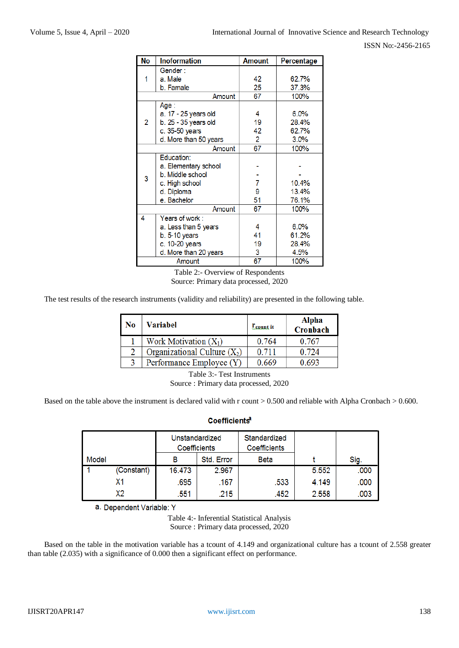| No     | <b>Inoformation</b>   | <b>Amount</b> | Percentage |  |
|--------|-----------------------|---------------|------------|--|
|        | Gender:               |               |            |  |
| 1      | a. Male               | 42            | 62.7%      |  |
|        | b. Famale             | 25            | 37.3%      |  |
|        | Amount                | 67<br>100%    |            |  |
|        | Age :                 |               |            |  |
|        | a. 17 - 25 years old  | 4             | 6.0%       |  |
| 2      | b. 25 - 35 years old  | 19            | 28.4%      |  |
|        | c. 35-50 years        | 42            | 62.7%      |  |
|        | d. More than 50 years | 2             | 3.0%       |  |
| Amount |                       | 67            | 100%       |  |
|        | Education:            |               |            |  |
|        | a. Elementary school  |               |            |  |
| 3      | b. Middle school      |               |            |  |
|        | c. High school        | 7             | 10.4%      |  |
|        | d. Diploma            | 9             | 13.4%      |  |
|        | e. Bachelor           | 51            | 76.1%      |  |
|        | Amount                | 67            | 100%       |  |
| 4      | Years of work:        |               |            |  |
|        | a. Less than 5 years  | 4             | 6.0%       |  |
|        | $b. 5-10$ years       | 41            | 61.2%      |  |
|        | c. 10-20 years        | 19            | 28.4%      |  |
|        | d. More than 20 years | 3             | 4.5%       |  |
|        | Amount                | 67            | 100%       |  |

Table 2:- Overview of Respondents Source: Primary data processed, 2020

The test results of the research instruments (validity and reliability) are presented in the following table.

| No | Variabel                       | <b>L</b> <sub>count</sub> it | <b>Alpha</b><br>Cronbach |
|----|--------------------------------|------------------------------|--------------------------|
|    | Work Motivation $(X_1)$        | 0.764                        | 0.767                    |
| 2  | Organizational Culture $(X_2)$ | 0.711                        | 0.724                    |
|    | Performance Employee (Y)       | 0.669                        | 0.693                    |

Table 3:- Test Instruments Source : Primary data processed, 2020

Based on the table above the instrument is declared valid with r count > 0.500 and reliable with Alpha Cronbach > 0.600.

## Coefficients<sup>a</sup>

|       |            | Unstandardized<br>Coefficients |            | Standardized<br>Coefficients |       |      |
|-------|------------|--------------------------------|------------|------------------------------|-------|------|
| Model |            | В                              | Std. Error | <b>Beta</b>                  |       | Sig. |
|       | (Constant) | 16.473                         | 2.967      |                              | 5.552 | .000 |
|       |            | .695                           | .167       | .533                         | 4.149 | .000 |
|       | Х2         | .551                           | .215       | .452                         | 2.558 | .003 |

a. Dependent Variable: Y

Table 4:- Inferential Statistical Analysis

Source : Primary data processed, 2020

Based on the table in the motivation variable has a tcount of 4.149 and organizational culture has a tcount of 2.558 greater than table (2.035) with a significance of 0.000 then a significant effect on performance.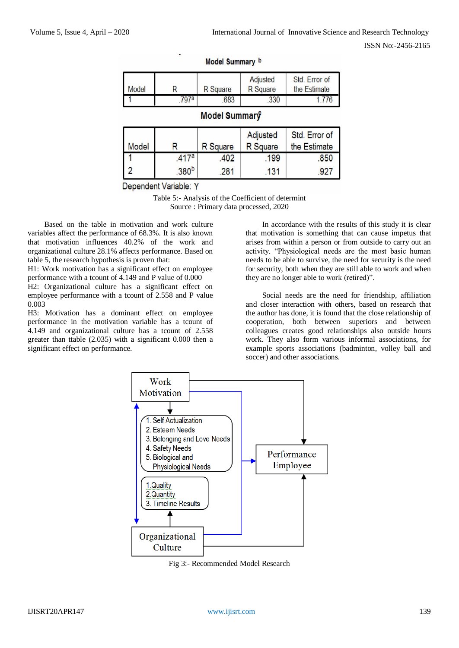ISSN No:-2456-2165

| <b>Model</b>  |      | R Square | Adjusted<br><b>R</b> Square | Std. Error of<br>the Estimate |  |  |
|---------------|------|----------|-----------------------------|-------------------------------|--|--|
|               | 797a | 683      | .330                        | .776                          |  |  |
| Model Summary |      |          |                             |                               |  |  |

#### Model Summary b

| <b>Model</b> |                   | R Square | Adjusted<br>R Square | Std. Error of<br>the Estimate |
|--------------|-------------------|----------|----------------------|-------------------------------|
|              | 417a              | 402      | 199                  | .850                          |
|              | .380 <sup>b</sup> | 281      | 131                  |                               |

Dependent Variable: Y

Table 5:- Analysis of the Coefficient of determint Source : Primary data processed, 2020

Based on the table in motivation and work culture variables affect the performance of 68.3%. It is also known that motivation influences 40.2% of the work and organizational culture 28.1% affects performance. Based on table 5, the research hypothesis is proven that:

H1: Work motivation has a significant effect on employee performance with a tcount of 4.149 and P value of 0.000

H2: Organizational culture has a significant effect on employee performance with a tcount of 2.558 and P value 0.003

H3: Motivation has a dominant effect on employee performance in the motivation variable has a tcount of 4.149 and organizational culture has a tcount of 2.558 greater than ttable (2.035) with a significant 0.000 then a significant effect on performance.

In accordance with the results of this study it is clear that motivation is something that can cause impetus that arises from within a person or from outside to carry out an activity. "Physiological needs are the most basic human needs to be able to survive, the need for security is the need for security, both when they are still able to work and when they are no longer able to work (retired)".

Social needs are the need for friendship, affiliation and closer interaction with others, based on research that the author has done, it is found that the close relationship of cooperation, both between superiors and between colleagues creates good relationships also outside hours work. They also form various informal associations, for example sports associations (badminton, volley ball and soccer) and other associations.



Fig 3:- Recommended Model Research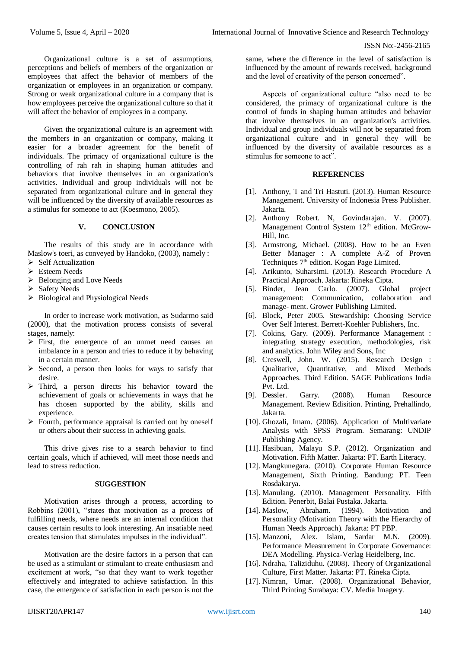Organizational culture is a set of assumptions, perceptions and beliefs of members of the organization or employees that affect the behavior of members of the organization or employees in an organization or company. Strong or weak organizational culture in a company that is how employees perceive the organizational culture so that it will affect the behavior of employees in a company.

Given the organizational culture is an agreement with the members in an organization or company, making it easier for a broader agreement for the benefit of individuals. The primacy of organizational culture is the controlling of rah rah in shaping human attitudes and behaviors that involve themselves in an organization's activities. Individual and group individuals will not be separated from organizational culture and in general they will be influenced by the diversity of available resources as a stimulus for someone to act (Koesmono, 2005).

## **V. CONCLUSION**

The results of this study are in accordance with Maslow's toeri, as conveyed by Handoko, (2003), namely :

- $\triangleright$  Self Actualization
- Esteem Needs
- $\triangleright$  Belonging and Love Needs
- $\triangleright$  Safety Needs
- $\triangleright$  Biological and Physiological Needs

In order to increase work motivation, as Sudarmo said (2000), that the motivation process consists of several stages, namely:

- $\triangleright$  First, the emergence of an unmet need causes an imbalance in a person and tries to reduce it by behaving in a certain manner.
- $\triangleright$  Second, a person then looks for ways to satisfy that desire.
- $\triangleright$  Third, a person directs his behavior toward the achievement of goals or achievements in ways that he has chosen supported by the ability, skills and experience.
- $\triangleright$  Fourth, performance appraisal is carried out by oneself or others about their success in achieving goals.

This drive gives rise to a search behavior to find certain goals, which if achieved, will meet those needs and lead to stress reduction.

#### **SUGGESTION**

Motivation arises through a process, according to Robbins (2001), "states that motivation as a process of fulfilling needs, where needs are an internal condition that causes certain results to look interesting. An insatiable need creates tension that stimulates impulses in the individual".

Motivation are the desire factors in a person that can be used as a stimulant or stimulant to create enthusiasm and excitement at work, "so that they want to work together effectively and integrated to achieve satisfaction. In this case, the emergence of satisfaction in each person is not the

same, where the difference in the level of satisfaction is influenced by the amount of rewards received, background and the level of creativity of the person concerned".

Aspects of organizational culture "also need to be considered, the primacy of organizational culture is the control of funds in shaping human attitudes and behavior that involve themselves in an organization's activities. Individual and group individuals will not be separated from organizational culture and in general they will be influenced by the diversity of available resources as a stimulus for someone to act".

## **REFERENCES**

- [1]. Anthony, T and Tri Hastuti. (2013). Human Resource Management. University of Indonesia Press Publisher. Jakarta.
- [2]. Anthony Robert. N, Govindarajan. V. (2007). Management Control System 12<sup>th</sup> edition. McGrow-Hill, Inc.
- [3]. Armstrong, Michael. (2008). How to be an Even Better Manager : A complete A-Z of Proven Techniques 7<sup>th</sup> edition. Kogan Page Limited.
- [4]. Arikunto, Suharsimi. (2013). Research Procedure A Practical Approach. Jakarta: Rineka Cipta.
- [5]. Binder, Jean Carlo. (2007). Global project management: Communication, collaboration and manage- ment. Grower Publishing Limited.
- [6]. Block, Peter 2005. Stewardship: Choosing Service Over Self Interest. Berrett-Koehler Publishers, Inc.
- [7]. Cokins, Gary. (2009). Performance Management : integrating strategy execution, methodologies, risk and analytics. John Wiley and Sons, Inc
- [8]. Creswell, John. W. (2015). Research Design : Qualitative, Quantitative, and Mixed Methods Approaches. Third Edition. SAGE Publications India Pvt. Ltd.
- [9]. Dessler. Garry. (2008). Human Resource Management. Review Edisition. Printing, Prehallindo, Jakarta.
- [10]. Ghozali, Imam. (2006). Application of Multivariate Analysis with SPSS Program. Semarang: UNDIP Publishing Agency.
- [11]. Hasibuan, Malayu S.P. (2012). Organization and Motivation. Fifth Matter. Jakarta: PT. Earth Literacy.
- [12]. Mangkunegara. (2010). Corporate Human Resource Management, Sixth Printing. Bandung: PT. Teen Rosdakarya.
- [13]. Manulang. (2010). Management Personality. Fifth Edition. Penerbit, Balai Pustaka. Jakarta.
- [14]. Maslow, Abraham. (1994). Motivation and Personality (Motivation Theory with the Hierarchy of Human Needs Approach). Jakarta: PT PBP.
- [15]. Manzoni, Alex. Islam, Sardar M.N. (2009). Performance Measurement in Corporate Governance: DEA Modelling. Physica-Verlag Heidelberg, Inc.
- [16]. Ndraha, Taliziduhu. (2008). Theory of Organizational Culture, First Matter. Jakarta: PT. Rineka Cipta.
- [17]. Nimran, Umar. (2008). Organizational Behavior, Third Printing Surabaya: CV. Media Imagery.